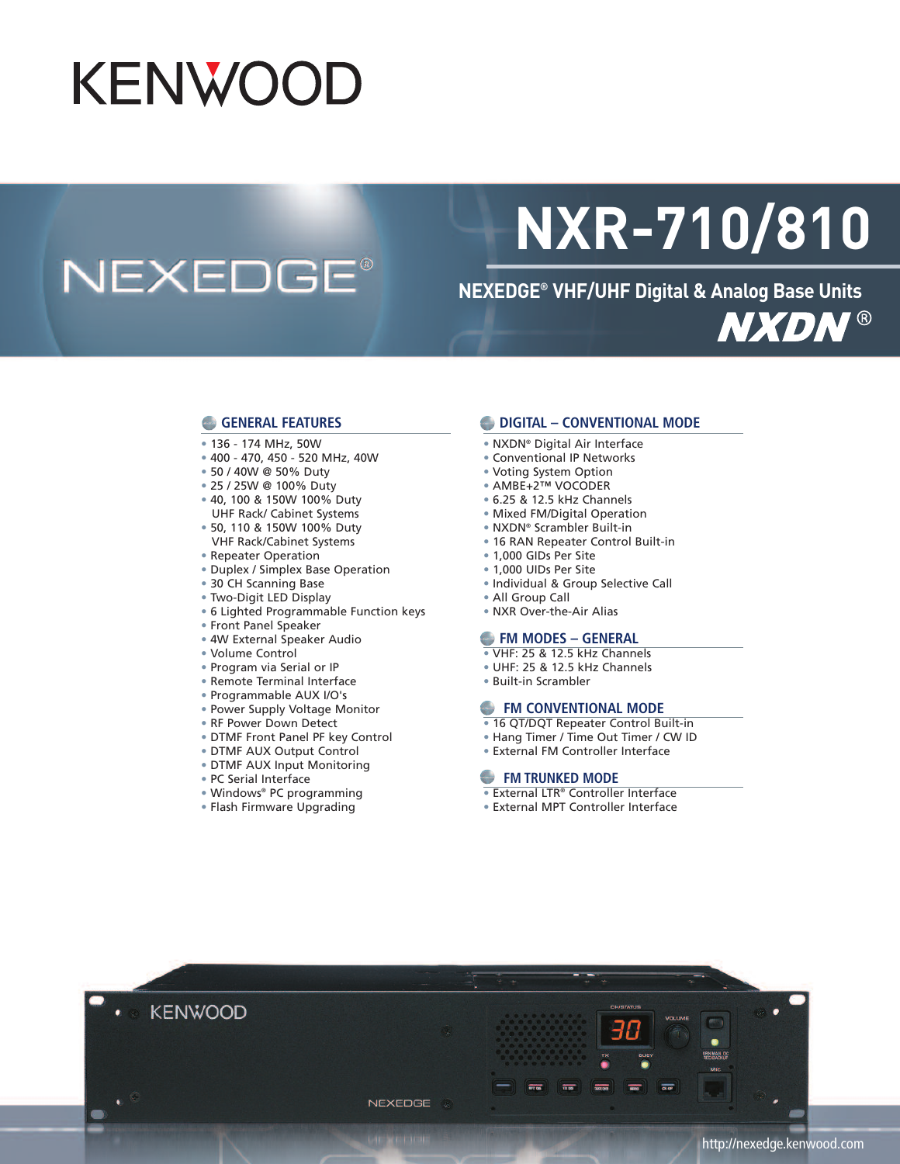# **KENWOOD**

## **NEXEDGE®**

# **NXR-710/810**

**NEXEDGE® VHF/UHF Digital & Analog Base Units NXDN®** 

#### **GENERAL FEATURES**

- 136 174 MHz, 50W
- 400 470, 450 520 MHz, 40W
- 50 / 40W @ 50% Duty
- 25 / 25W @ 100% Duty
- 40, 100 & 150W 100% Duty UHF Rack/ Cabinet Systems
- 50, 110 & 150W 100% Duty
- VHF Rack/Cabinet Systems
- Repeater Operation
- Duplex / Simplex Base Operation
- 30 CH Scanning Base
- Two-Digit LED Display
- 6 Lighted Programmable Function keys
- Front Panel Speaker
- 4W External Speaker Audio
- Volume Control
- Program via Serial or IP
- Remote Terminal Interface
- Programmable AUX I/O's
- Power Supply Voltage Monitor
- RF Power Down Detect
- DTMF Front Panel PF key Control
- DTMF AUX Output Control
- DTMF AUX Input Monitoring
- PC Serial Interface
- 
- Windows® PC programming
- Flash Firmware Upgrading

#### **DIGITAL – CONVENTIONAL MODE**

- NXDN® Digital Air Interface
- Conventional IP Networks
- Voting System Option
- AMBE+2™ VOCODER
- 6.25 & 12.5 kHz Channels
- Mixed FM/Digital Operation
- NXDN® Scrambler Built-in
- 16 RAN Repeater Control Built-in
- 1,000 GIDs Per Site
- 1,000 UIDs Per Site
- Individual & Group Selective Call
- All Group Call
- NXR Over-the-Air Alias

#### **FM MODES – GENERAL**

- VHF: 25 & 12.5 kHz Channels
- UHF: 25 & 12.5 kHz Channels
- Built-in Scrambler

#### **FM CONVENTIONAL MODE**

- 16 QT/DQT Repeater Control Built-in
- Hang Timer / Time Out Timer / CW ID
- External FM Controller Interface

#### **FM TRUNKED MODE**

- External LTR® Controller Interface
- External MPT Controller Interface